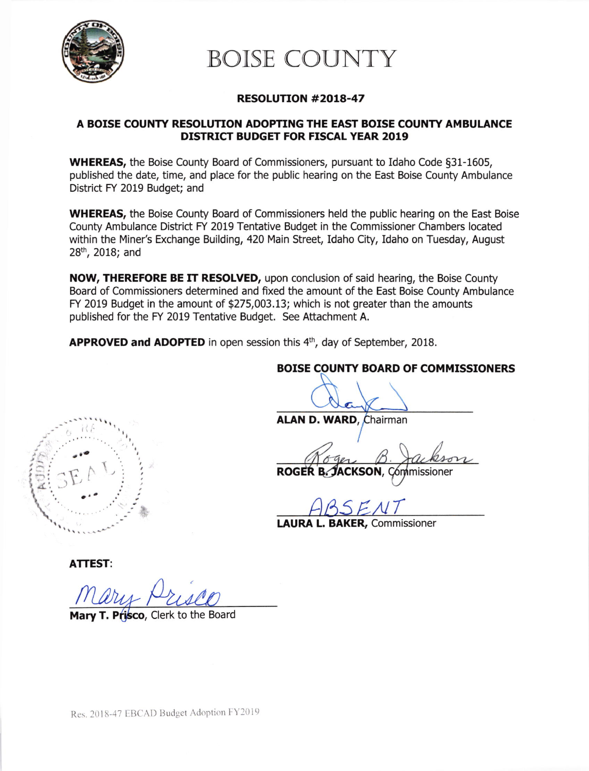

# BOISE COUNTY

## RESOLUTION #2018-47

## A BOISE COUNTY RESOLUTION ADOPTING THE EAST BOISE COUNTY AMBULANCE DISTRICT BUDGET FOR FISCAL YEAR 2019

WHEREAS, the Boise County Board of Commissioners, pursuant to Idaho Code \$31-1605, published the date, time, and place for the public hearing on the East Boise County Ambulance District FY 2019 Budget; and

WHEREAS, the Boise County Board of Commissioners held the public hearing on the East Boise County Ambulance District FY 2019 Tentative Budget in the Commissioner Chambers located within the Miner's Exchange Building, 420 Main Street, Idaho City, Idaho on Tuesday, August 28<sup>th</sup>, 2018; and

NOW, THEREFORE BE IT RESOLVED, upon conclusion of said hearing, the Boise County Board of Commissioners determined and fixed the amount of the East Boise County Ambulance FY 2019 Budget in the amount of \$275,003.13; which is not greater than the amounts published for the FY 2019 Tentative Budget. See Attachment A.

APPROVED and ADOPTED in open session this 4<sup>th</sup>, day of September, 2018.



BOISE COUNTY BOARD OF COMMISSIONERS

ALAN D. WARD, Chairman

ABSENT

LAURA L. BAKER, Commissioner

ATTEST:

Mary T. Prisco, Clerk to the Board